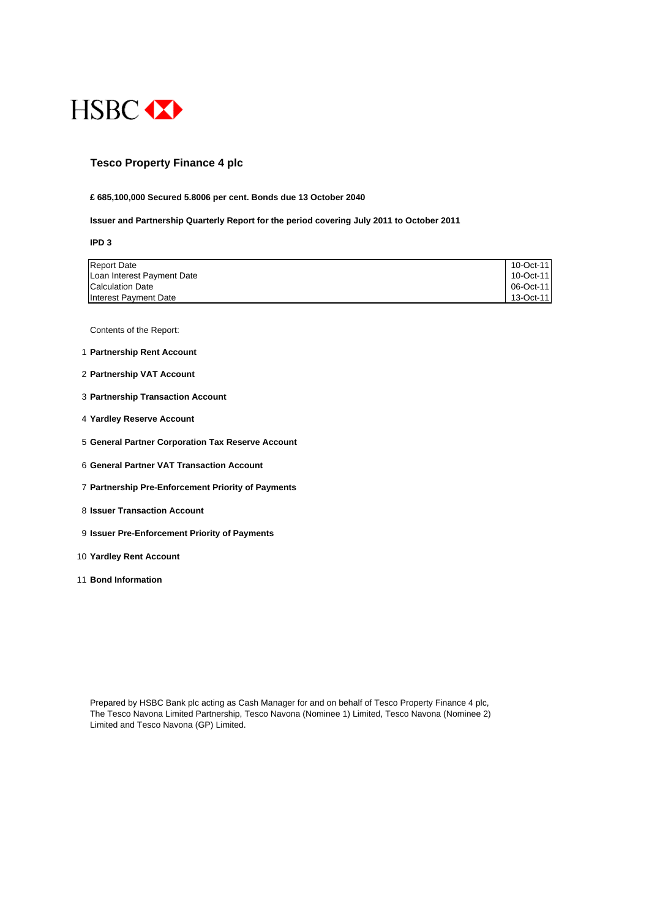

## **Tesco Property Finance 4 plc**

#### **£ 685,100,000 Secured 5.8006 per cent. Bonds due 13 October 2040**

#### **Issuer and Partnership Quarterly Report for the period covering July 2011 to October 2011**

**IPD 3**

| <b>Report Date</b>         | 10-Oct-11 |
|----------------------------|-----------|
| Loan Interest Payment Date | 10-Oct-11 |
| Calculation Date           | 06-Oct-11 |
| Interest Payment Date      | 13-Oct-11 |

Contents of the Report:

- 1 **Partnership Rent Account**
- 2 **Partnership VAT Account**
- 3 **Partnership Transaction Account**
- 4 **Yardley Reserve Account**
- 5 **General Partner Corporation Tax Reserve Account**
- 6 **General Partner VAT Transaction Account**
- 7 **Partnership Pre-Enforcement Priority of Payments**
- 8 **Issuer Transaction Account**
- 9 **Issuer Pre-Enforcement Priority of Payments**
- 10 **Yardley Rent Account**
- 11 **Bond Information**

Prepared by HSBC Bank plc acting as Cash Manager for and on behalf of Tesco Property Finance 4 plc, The Tesco Navona Limited Partnership, Tesco Navona (Nominee 1) Limited, Tesco Navona (Nominee 2) Limited and Tesco Navona (GP) Limited.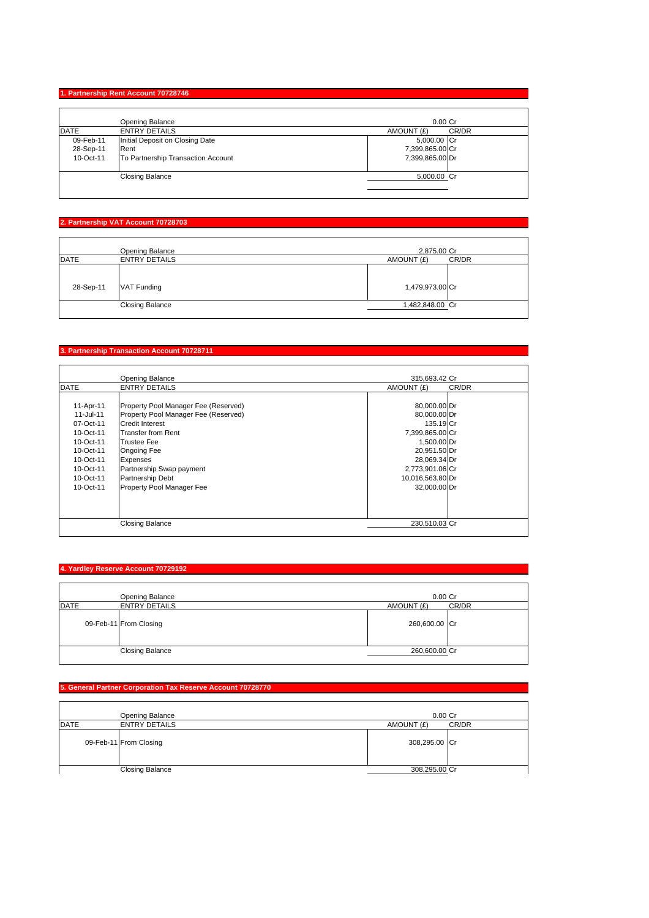### **1. Partnership Rent Account 70728746**

|             | Opening Balance                    | $0.00$ Cr           |
|-------------|------------------------------------|---------------------|
| <b>DATE</b> | <b>ENTRY DETAILS</b>               | CR/DR<br>AMOUNT (£) |
| 09-Feb-11   | Initial Deposit on Closing Date    | 5,000.00 Cr         |
| 28-Sep-11   | Rent                               | 7,399,865.00 Cr     |
| 10-Oct-11   | To Partnership Transaction Account | 7,399,865.00 Dr     |
|             | <b>Closing Balance</b>             | 5,000.00 Cr         |

## **2. Partnership VAT Account 70728703**

|             | Opening Balance        | 2,875.00 Cr     |       |
|-------------|------------------------|-----------------|-------|
| <b>DATE</b> | <b>ENTRY DETAILS</b>   | AMOUNT (£)      | CR/DR |
| 28-Sep-11   | VAT Funding            | 1,479,973.00 Cr |       |
|             | <b>Closing Balance</b> | 1,482,848.00 Cr |       |

## **3. Partnership Transaction Account 70728711**

|             | <b>Opening Balance</b>               | 315.693.42 Cr    |       |
|-------------|--------------------------------------|------------------|-------|
| <b>DATE</b> | <b>ENTRY DETAILS</b>                 | AMOUNT (£)       | CR/DR |
|             |                                      |                  |       |
| 11-Apr-11   | Property Pool Manager Fee (Reserved) | 80,000.00 Dr     |       |
| 11-Jul-11   | Property Pool Manager Fee (Reserved) | 80,000.00 Dr     |       |
| 07-Oct-11   | Credit Interest                      | 135.19 Cr        |       |
| 10-Oct-11   | <b>Transfer from Rent</b>            | 7,399,865.00 Cr  |       |
| 10-Oct-11   | <b>Trustee Fee</b>                   | 1,500.00 Dr      |       |
| 10-Oct-11   | Ongoing Fee                          | 20,951.50 Dr     |       |
| 10-Oct-11   | Expenses                             | 28,069.34 Dr     |       |
| 10-Oct-11   | Partnership Swap payment             | 2,773,901.06 Cr  |       |
| 10-Oct-11   | Partnership Debt                     | 10,016,563.80 Dr |       |
| 10-Oct-11   | Property Pool Manager Fee            | 32,000.00 Dr     |       |
|             |                                      |                  |       |
|             |                                      |                  |       |
|             |                                      |                  |       |
|             | <b>Closing Balance</b>               | 230.510.03 Cr    |       |

### **4. Yardley Reserve Account 70729192**

|             | Opening Balance        |               | $0.00$ Cr |
|-------------|------------------------|---------------|-----------|
| <b>DATE</b> | <b>ENTRY DETAILS</b>   | AMOUNT (£)    | CR/DR     |
|             | 09-Feb-11 From Closing | 260,600.00 Cr |           |
|             | <b>Closing Balance</b> | 260,600.00 Cr |           |

#### **5. General Partner Corporation Tax Reserve Account 70728770**

|             | Opening Balance        | $0.00$ Cr           |
|-------------|------------------------|---------------------|
| <b>DATE</b> | <b>ENTRY DETAILS</b>   | CR/DR<br>AMOUNT (£) |
|             | 09-Feb-11 From Closing | 308,295.00 Cr       |
|             | <b>Closing Balance</b> | 308,295.00 Cr       |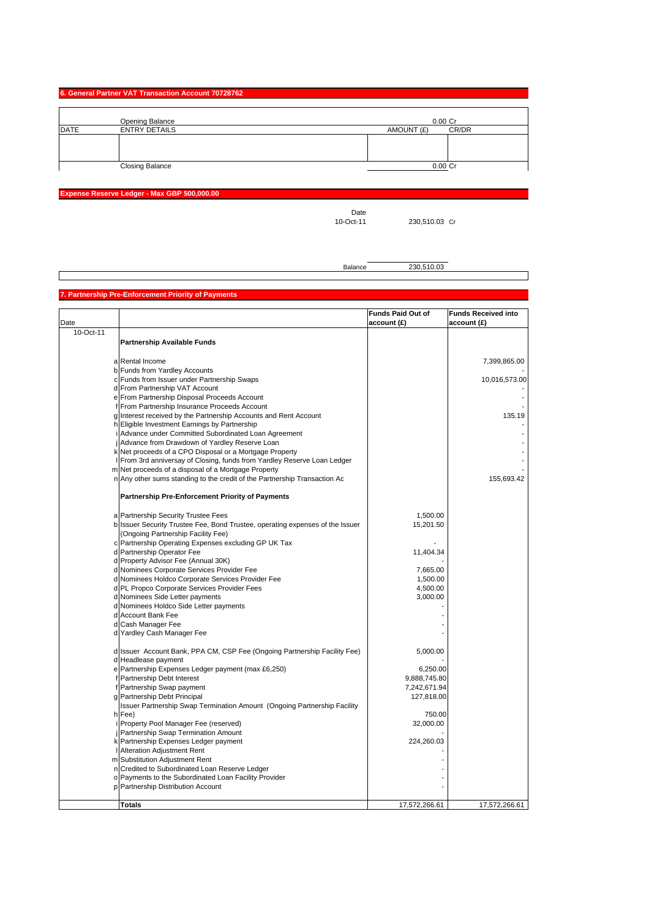| 6. General Partner VAT Transaction Account 70728762 |  |  |  |
|-----------------------------------------------------|--|--|--|
|                                                     |  |  |  |
|                                                     |  |  |  |

|             | Opening Balance        | $0.00$ Cr  |       |
|-------------|------------------------|------------|-------|
| <b>DATE</b> | <b>ENTRY DETAILS</b>   | AMOUNT (£) | CR/DR |
|             |                        |            |       |
|             |                        |            |       |
|             |                        |            |       |
|             | <b>Closing Balance</b> | $0.00$ Cr  |       |

**Expense Reserve Ledger - Max GBP 500,000.00**

Date<br>10-Oct-11

230,510.03 Cr

Balance 230,510.03

### **7. Partnership Pre-Enforcement Priority of Payments**

|           |                                                                               | <b>Funds Paid Out of</b> | <b>Funds Received into</b> |
|-----------|-------------------------------------------------------------------------------|--------------------------|----------------------------|
| Date      |                                                                               | account (£)              | account(E)                 |
| 10-Oct-11 |                                                                               |                          |                            |
|           | Partnership Available Funds                                                   |                          |                            |
|           |                                                                               |                          |                            |
|           | a Rental Income                                                               |                          | 7,399,865.00               |
|           | b Funds from Yardley Accounts                                                 |                          |                            |
|           | c Funds from Issuer under Partnership Swaps                                   |                          | 10,016,573.00              |
|           | d From Partnership VAT Account                                                |                          |                            |
|           | e From Partnership Disposal Proceeds Account                                  |                          |                            |
|           | f From Partnership Insurance Proceeds Account                                 |                          |                            |
|           | g Interest received by the Partnership Accounts and Rent Account              |                          | 135.19                     |
|           | h Eligible Investment Earnings by Partnership                                 |                          |                            |
|           | Advance under Committed Subordinated Loan Agreement                           |                          |                            |
|           | Advance from Drawdown of Yardley Reserve Loan                                 |                          |                            |
|           | k Net proceeds of a CPO Disposal or a Mortgage Property                       |                          |                            |
|           | From 3rd anniversay of Closing, funds from Yardley Reserve Loan Ledger        |                          |                            |
|           | m Net proceeds of a disposal of a Mortgage Property                           |                          |                            |
|           | n Any other sums standing to the credit of the Partnership Transaction Ac     |                          | 155,693.42                 |
|           |                                                                               |                          |                            |
|           | Partnership Pre-Enforcement Priority of Payments                              |                          |                            |
|           |                                                                               |                          |                            |
|           | a Partnership Security Trustee Fees                                           | 1,500.00                 |                            |
|           | b Issuer Security Trustee Fee, Bond Trustee, operating expenses of the Issuer | 15,201.50                |                            |
|           | (Ongoing Partnership Facility Fee)                                            |                          |                            |
|           | c Partnership Operating Expenses excluding GP UK Tax                          |                          |                            |
|           | d Partnership Operator Fee                                                    | 11,404.34                |                            |
|           | d Property Advisor Fee (Annual 30K)                                           |                          |                            |
|           | d Nominees Corporate Services Provider Fee                                    | 7,665.00                 |                            |
|           | d Nominees Holdco Corporate Services Provider Fee                             | 1,500.00                 |                            |
|           | d PL Propco Corporate Services Provider Fees                                  | 4,500.00                 |                            |
|           | d Nominees Side Letter payments                                               | 3,000.00                 |                            |
|           | d Nominees Holdco Side Letter payments                                        |                          |                            |
|           | d Account Bank Fee                                                            |                          |                            |
|           | d Cash Manager Fee                                                            |                          |                            |
|           | d Yardley Cash Manager Fee                                                    |                          |                            |
|           |                                                                               |                          |                            |
|           | d Issuer Account Bank, PPA CM, CSP Fee (Ongoing Partnership Facility Fee)     | 5,000.00                 |                            |
|           | d Headlease payment                                                           |                          |                            |
|           | e Partnership Expenses Ledger payment (max £6,250)                            | 6,250.00                 |                            |
| f         | Partnership Debt Interest                                                     | 9,888,745.80             |                            |
| f         | Partnership Swap payment                                                      | 7,242,671.94             |                            |
|           | g Partnership Debt Principal                                                  | 127,818.00               |                            |
|           | Issuer Partnership Swap Termination Amount (Ongoing Partnership Facility      |                          |                            |
|           | h Fee)                                                                        | 750.00                   |                            |
|           | Property Pool Manager Fee (reserved)                                          | 32,000.00                |                            |
|           | Partnership Swap Termination Amount                                           |                          |                            |
|           | k Partnership Expenses Ledger payment                                         | 224,260.03               |                            |
|           | I Alteration Adjustment Rent                                                  |                          |                            |
|           | m Substitution Adjustment Rent                                                |                          |                            |
|           | n Credited to Subordinated Loan Reserve Ledger                                |                          |                            |
|           | o Payments to the Subordinated Loan Facility Provider                         |                          |                            |
|           | p Partnership Distribution Account                                            |                          |                            |
|           |                                                                               |                          |                            |
|           | <b>Totals</b>                                                                 | 17,572,266.61            | 17,572,266.61              |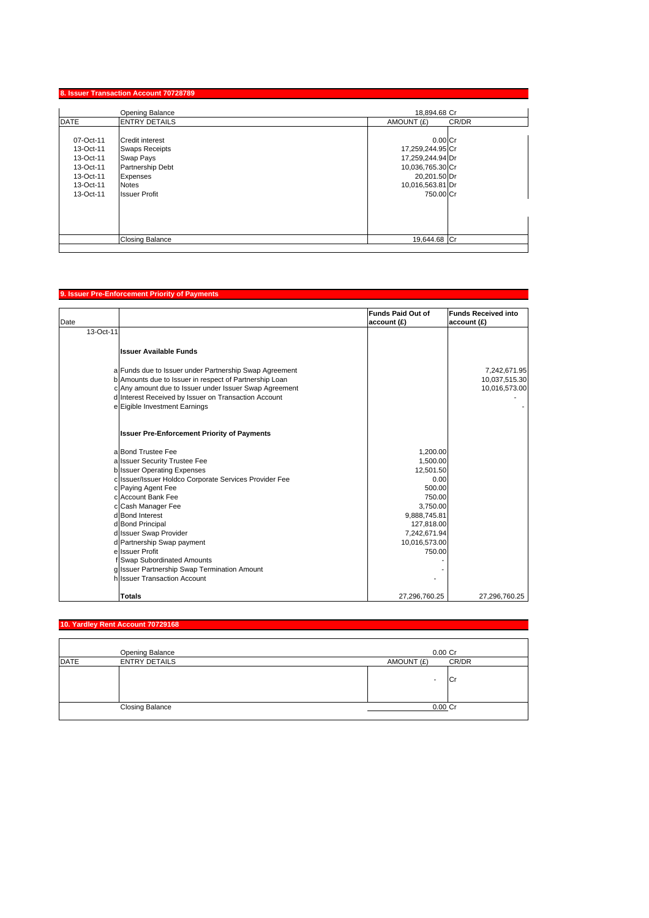|                                                                                         | 8. Issuer Transaction Account 70728789                                                                                                      |                                                                                                                        |       |
|-----------------------------------------------------------------------------------------|---------------------------------------------------------------------------------------------------------------------------------------------|------------------------------------------------------------------------------------------------------------------------|-------|
|                                                                                         | <b>Opening Balance</b>                                                                                                                      | 18.894.68 Cr                                                                                                           |       |
| <b>DATE</b>                                                                             | <b>ENTRY DETAILS</b>                                                                                                                        | AMOUNT (£)                                                                                                             | CR/DR |
| 07-Oct-11<br>13-Oct-11<br>13-Oct-11<br>13-Oct-11<br>13-Oct-11<br>13-Oct-11<br>13-Oct-11 | <b>Credit interest</b><br><b>Swaps Receipts</b><br>Swap Pays<br>Partnership Debt<br><b>Expenses</b><br><b>Notes</b><br><b>Issuer Profit</b> | $0.00C$ r<br>17,259,244.95 Cr<br>17,259,244.94 Dr<br>10,036,765.30 Cr<br>20,201.50 Dr<br>10,016,563.81 Dr<br>750,00 Cr |       |
|                                                                                         | <b>Closing Balance</b>                                                                                                                      | 19.644.68 Cr                                                                                                           |       |
|                                                                                         |                                                                                                                                             |                                                                                                                        |       |

# **9. Issuer Pre-Enforcement Priority of Payments**

| Date |                                                                              | <b>Funds Paid Out of</b><br>account (£) | <b>Funds Received into</b><br>account(E) |
|------|------------------------------------------------------------------------------|-----------------------------------------|------------------------------------------|
|      | 13-Oct-11                                                                    |                                         |                                          |
|      | <b>Issuer Available Funds</b>                                                |                                         |                                          |
|      | a Funds due to Issuer under Partnership Swap Agreement                       |                                         | 7,242,671.95                             |
|      | b Amounts due to Issuer in respect of Partnership Loan                       |                                         | 10,037,515.30                            |
|      | c Any amount due to Issuer under Issuer Swap Agreement                       |                                         | 10,016,573.00                            |
|      | d Interest Received by Issuer on Transaction Account                         |                                         |                                          |
|      | e Eigible Investment Earnings                                                |                                         |                                          |
|      | <b>Issuer Pre-Enforcement Priority of Payments</b>                           |                                         |                                          |
|      | a Bond Trustee Fee                                                           | 1,200.00                                |                                          |
|      | a Issuer Security Trustee Fee                                                | 1,500.00                                |                                          |
|      | <b>b</b> Issuer Operating Expenses                                           | 12,501.50                               |                                          |
|      | c Issuer/Issuer Holdco Corporate Services Provider Fee                       | 0.00                                    |                                          |
|      | c Paying Agent Fee                                                           | 500.00                                  |                                          |
|      | c Account Bank Fee                                                           | 750.00                                  |                                          |
|      | c Cash Manager Fee                                                           | 3,750.00                                |                                          |
|      | d Bond Interest                                                              | 9,888,745.81                            |                                          |
|      | d Bond Principal                                                             | 127,818.00                              |                                          |
|      | d Issuer Swap Provider                                                       | 7,242,671.94                            |                                          |
|      | d Partnership Swap payment                                                   | 10,016,573.00                           |                                          |
|      | e Issuer Profit<br><b>Swap Subordinated Amounts</b>                          | 750.00                                  |                                          |
|      |                                                                              |                                         |                                          |
|      | g Issuer Partnership Swap Termination Amount<br>h Issuer Transaction Account |                                         |                                          |
|      |                                                                              |                                         |                                          |
|      | <b>Totals</b>                                                                | 27,296,760.25                           | 27,296,760.25                            |

# **10. Yardley Rent Account 70729168**

|             | Opening Balance        | 0.00 Cr    |       |
|-------------|------------------------|------------|-------|
| <b>DATE</b> | <b>ENTRY DETAILS</b>   | AMOUNT (£) | CR/DR |
|             |                        | ۰          | וטו   |
|             | <b>Closing Balance</b> | 0.00 Cr    |       |